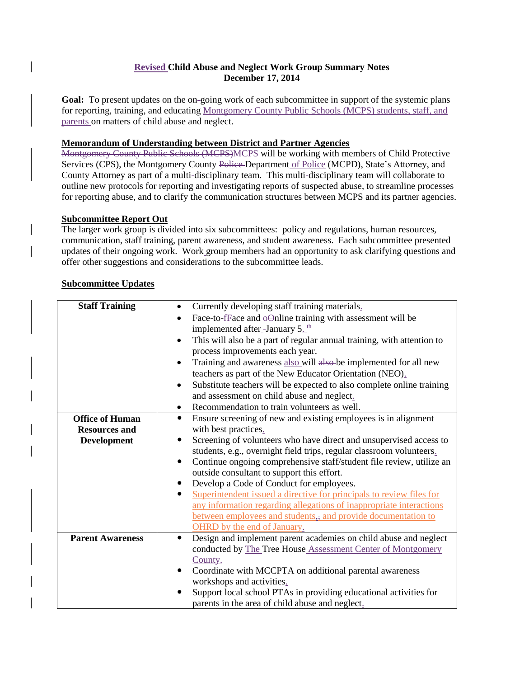### **Revised Child Abuse and Neglect Work Group Summary Notes December 17, 2014**

**Goal:** To present updates on the on-going work of each subcommittee in support of the systemic plans for reporting, training, and educating Montgomery County Public Schools (MCPS) students, staff, and parents on matters of child abuse and neglect.

## **Memorandum of Understanding between District and Partner Agencies**

Montgomery County Public Schools (MCPS)MCPS will be working with members of Child Protective Services (CPS), the Montgomery County Police-Department of Police (MCPD), State's Attorney, and County Attorney as part of a multi-disciplinary team. This multi-disciplinary team will collaborate to outline new protocols for reporting and investigating reports of suspected abuse, to streamline processes for reporting abuse, and to clarify the communication structures between MCPS and its partner agencies.

## **Subcommittee Report Out**

The larger work group is divided into six subcommittees: policy and regulations, human resources, communication, staff training, parent awareness, and student awareness. Each subcommittee presented updates of their ongoing work. Work group members had an opportunity to ask clarifying questions and offer other suggestions and considerations to the subcommittee leads.

#### **Subcommittee Updates**

| <b>Staff Training</b>   | Currently developing staff training materials.                                      |
|-------------------------|-------------------------------------------------------------------------------------|
|                         | Face-to- $f$ Face and $o$ Online training with assessment will be                   |
|                         | implemented after-January 5. <sup>th</sup>                                          |
|                         | This will also be a part of regular annual training, with attention to<br>$\bullet$ |
|                         | process improvements each year.                                                     |
|                         | Training and awareness also will also be implemented for all new<br>٠               |
|                         | teachers as part of the New Educator Orientation (NEO).                             |
|                         | Substitute teachers will be expected to also complete online training<br>$\bullet$  |
|                         | and assessment on child abuse and neglect.                                          |
|                         | Recommendation to train volunteers as well.<br>$\bullet$                            |
| <b>Office of Human</b>  | Ensure screening of new and existing employees is in alignment<br>$\bullet$         |
| <b>Resources and</b>    | with best practices.                                                                |
| <b>Development</b>      | Screening of volunteers who have direct and unsupervised access to                  |
|                         | students, e.g., overnight field trips, regular classroom volunteers.                |
|                         | Continue ongoing comprehensive staff/student file review, utilize an<br>$\bullet$   |
|                         | outside consultant to support this effort.                                          |
|                         | Develop a Code of Conduct for employees.                                            |
|                         | Superintendent issued a directive for principals to review files for<br>$\bullet$   |
|                         | any information regarding allegations of inappropriate interactions                 |
|                         | between employees and students, and provide documentation to                        |
|                         | OHRD by the end of January.                                                         |
| <b>Parent Awareness</b> | Design and implement parent academies on child abuse and neglect<br>$\bullet$       |
|                         | conducted by The Tree House Assessment Center of Montgomery                         |
|                         | County.                                                                             |
|                         | Coordinate with MCCPTA on additional parental awareness                             |
|                         | workshops and activities.                                                           |
|                         | Support local school PTAs in providing educational activities for                   |
|                         | parents in the area of child abuse and neglect.                                     |